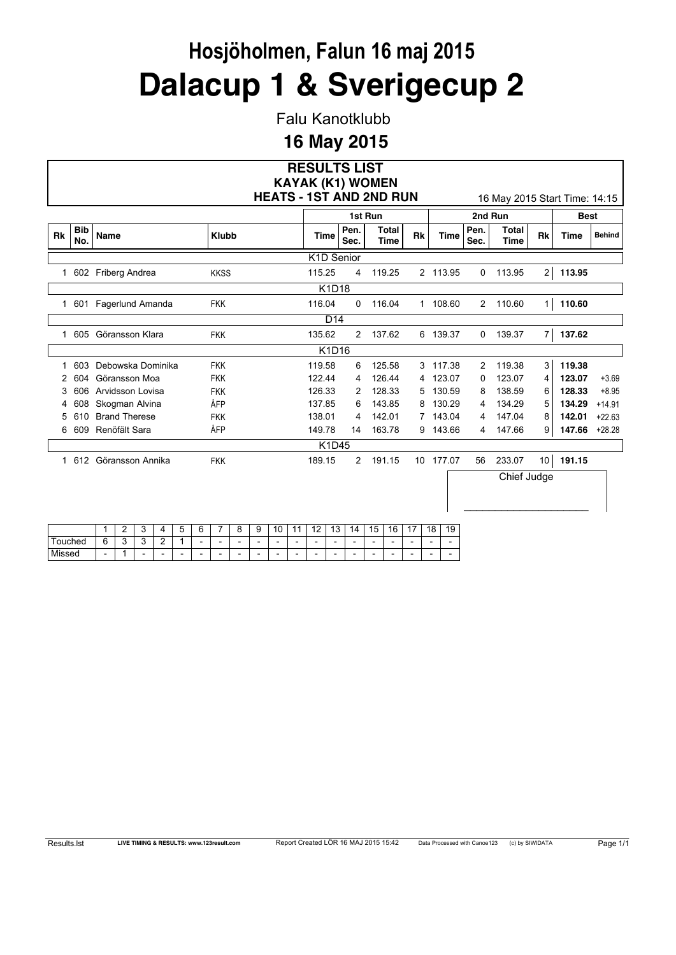Falu Kanotklubb

### **16 May 2015**

|           |                        |                                     |                   |                     |                     |                          |                                            |                                            |                                                      |                                            |                                                      |                                                      |                                            |                                                      | <b>RESULTS LIST</b>                                       |                                                      |                      |                |        |                                            |                |                               |                 |             |               |
|-----------|------------------------|-------------------------------------|-------------------|---------------------|---------------------|--------------------------|--------------------------------------------|--------------------------------------------|------------------------------------------------------|--------------------------------------------|------------------------------------------------------|------------------------------------------------------|--------------------------------------------|------------------------------------------------------|-----------------------------------------------------------|------------------------------------------------------|----------------------|----------------|--------|--------------------------------------------|----------------|-------------------------------|-----------------|-------------|---------------|
|           |                        |                                     |                   |                     |                     |                          |                                            |                                            |                                                      |                                            |                                                      |                                                      |                                            |                                                      | <b>KAYAK (K1) WOMEN</b><br><b>HEATS - 1ST AND 2ND RUN</b> |                                                      |                      |                |        |                                            |                | 16 May 2015 Start Time: 14:15 |                 |             |               |
|           |                        |                                     |                   |                     |                     |                          |                                            |                                            |                                                      |                                            |                                                      |                                                      |                                            |                                                      |                                                           | 1st Run                                              |                      |                |        |                                            |                | 2nd Run                       |                 | <b>Best</b> |               |
| <b>Rk</b> | <b>Bib</b><br>No.      | Name                                |                   |                     |                     |                          |                                            | <b>Klubb</b>                               |                                                      |                                            |                                                      |                                                      |                                            | Time                                                 | Pen.<br>Sec.                                              |                                                      | <b>Total</b><br>Time | <b>Rk</b>      |        | <b>Time</b>                                | Pen.<br>Sec.   | <b>Total</b><br>Time          | Rk              | <b>Time</b> | <b>Behind</b> |
|           |                        |                                     |                   |                     |                     |                          |                                            |                                            |                                                      |                                            |                                                      |                                                      |                                            |                                                      | K1D Senior                                                |                                                      |                      |                |        |                                            |                |                               |                 |             |               |
|           | 1 602 Friberg Andrea   |                                     |                   |                     |                     |                          |                                            | <b>KKSS</b>                                |                                                      |                                            |                                                      |                                                      | 115.25                                     |                                                      | 4                                                         |                                                      | 119.25               |                |        | 2 113.95                                   | $\mathbf 0$    | 113.95                        | 2               | 113.95      |               |
|           |                        |                                     |                   |                     |                     |                          |                                            |                                            |                                                      |                                            |                                                      |                                                      |                                            | K1D18                                                |                                                           |                                                      |                      |                |        |                                            |                |                               |                 |             |               |
|           | 1 601 Fagerlund Amanda |                                     |                   |                     |                     |                          |                                            | <b>FKK</b>                                 |                                                      |                                            |                                                      |                                                      | 116.04                                     |                                                      | 0                                                         |                                                      | 116.04               |                |        | 1 108.60                                   | $\overline{2}$ | 110.60                        | 1               | 110.60      |               |
|           |                        |                                     |                   |                     |                     |                          |                                            |                                            |                                                      |                                            |                                                      |                                                      |                                            | D <sub>14</sub>                                      |                                                           |                                                      |                      |                |        |                                            |                |                               |                 |             |               |
|           |                        | 1 605 Göransson Klara<br><b>FKK</b> |                   |                     |                     |                          |                                            |                                            |                                                      |                                            |                                                      |                                                      | 135.62                                     |                                                      | $\overline{2}$                                            |                                                      | 137.62               |                |        | 6 139.37                                   | $\mathbf{0}$   | 139.37                        | $\overline{7}$  | 137.62      |               |
|           |                        |                                     |                   |                     |                     |                          |                                            |                                            |                                                      |                                            |                                                      |                                                      |                                            | K1D16                                                |                                                           |                                                      |                      |                |        |                                            |                |                               |                 |             |               |
| 1         | 603                    | Debowska Dominika                   |                   |                     | <b>FKK</b>          |                          |                                            |                                            |                                                      | 119.58                                     |                                                      | 6                                                    |                                            | 125.58                                               |                                                           | 3                                                    | 117.38               | $\overline{2}$ | 119.38 | 3                                          | 119.38         |                               |                 |             |               |
| 2         | 604                    | Göransson Moa                       |                   |                     |                     |                          |                                            | <b>FKK</b>                                 |                                                      |                                            |                                                      |                                                      | 122.44                                     |                                                      | 4                                                         |                                                      | 126.44               | 4              |        | 123.07                                     | 0              | 123.07                        | 4               | 123.07      | $+3.69$       |
|           | 606                    | Arvidsson Lovisa                    |                   |                     |                     |                          |                                            | <b>FKK</b>                                 |                                                      |                                            |                                                      |                                                      | 126.33                                     |                                                      | 2                                                         |                                                      | 128.33               | 5              |        | 130.59                                     | 8              | 138.59                        | 6               | 128.33      | $+8.95$       |
| 4         | 608                    | Skogman Alvina                      |                   |                     |                     |                          |                                            | ÅFP                                        |                                                      |                                            |                                                      |                                                      | 137.85                                     |                                                      | 6                                                         |                                                      | 143.85               | 8              |        | 130.29                                     | 4              | 134.29                        | 5               | 134.29      | $+14.91$      |
| 5         | 610                    | <b>Brand Therese</b>                |                   |                     |                     |                          |                                            | <b>FKK</b>                                 |                                                      |                                            |                                                      |                                                      | 138.01                                     |                                                      | 4                                                         |                                                      | 142.01               |                | 7      | 143.04                                     | 4              | 147.04                        | 8               | 142.01      | $+22.63$      |
| 6         | 609                    | Renöfält Sara                       |                   |                     |                     |                          |                                            | ÅFP                                        |                                                      |                                            |                                                      |                                                      | 149.78                                     |                                                      | 14                                                        |                                                      | 163.78               |                | 9      | 143.66                                     | 4              | 147.66                        | 9               | 147.66      | $+28.28$      |
|           |                        |                                     |                   |                     |                     |                          |                                            |                                            |                                                      |                                            |                                                      |                                                      |                                            | K1D45                                                |                                                           |                                                      |                      |                |        |                                            |                |                               |                 |             |               |
| 1         | 612 Göransson Annika   |                                     |                   |                     |                     |                          |                                            | <b>FKK</b>                                 |                                                      |                                            |                                                      |                                                      | 189.15                                     |                                                      | $\overline{2}$                                            |                                                      | 191.15               |                |        | 10 177.07                                  | 56             | 233.07                        | 10 <sub>1</sub> | 191.15      |               |
|           |                        |                                     |                   |                     |                     |                          |                                            |                                            |                                                      |                                            |                                                      |                                                      |                                            |                                                      |                                                           |                                                      |                      |                |        |                                            |                | Chief Judge                   |                 |             |               |
|           |                        |                                     |                   |                     |                     |                          |                                            |                                            |                                                      |                                            |                                                      |                                                      |                                            |                                                      |                                                           |                                                      |                      |                |        |                                            |                |                               |                 |             |               |
|           |                        |                                     |                   |                     |                     |                          |                                            |                                            |                                                      |                                            |                                                      |                                                      |                                            |                                                      |                                                           |                                                      |                      |                |        |                                            |                |                               |                 |             |               |
| Touched   |                        |                                     | 2                 | 3                   | 4                   | 5<br>1                   | 6                                          | 7                                          | 8                                                    | 9                                          | 10                                                   | 11                                                   | 12                                         | 13                                                   | 14                                                        | 15                                                   | 16                   | 17             | 18     | 19                                         |                |                               |                 |             |               |
| Missed    |                        | 6<br>$\overline{a}$                 | 3<br>$\mathbf{1}$ | 3<br>$\overline{a}$ | 2<br>$\overline{a}$ | $\overline{\phantom{a}}$ | $\overline{\phantom{a}}$<br>$\overline{a}$ | $\overline{a}$<br>$\overline{\phantom{a}}$ | $\overline{\phantom{a}}$<br>$\overline{\phantom{a}}$ | $\overline{a}$<br>$\overline{\phantom{a}}$ | $\overline{\phantom{a}}$<br>$\overline{\phantom{a}}$ | $\overline{\phantom{a}}$<br>$\overline{\phantom{a}}$ | $\overline{\phantom{a}}$<br>$\blacksquare$ | $\overline{\phantom{a}}$<br>$\overline{\phantom{a}}$ | $\overline{\phantom{a}}$                                  | $\overline{\phantom{a}}$<br>$\overline{\phantom{a}}$ |                      | $\overline{a}$ |        | $\overline{a}$<br>$\overline{\phantom{a}}$ |                |                               |                 |             |               |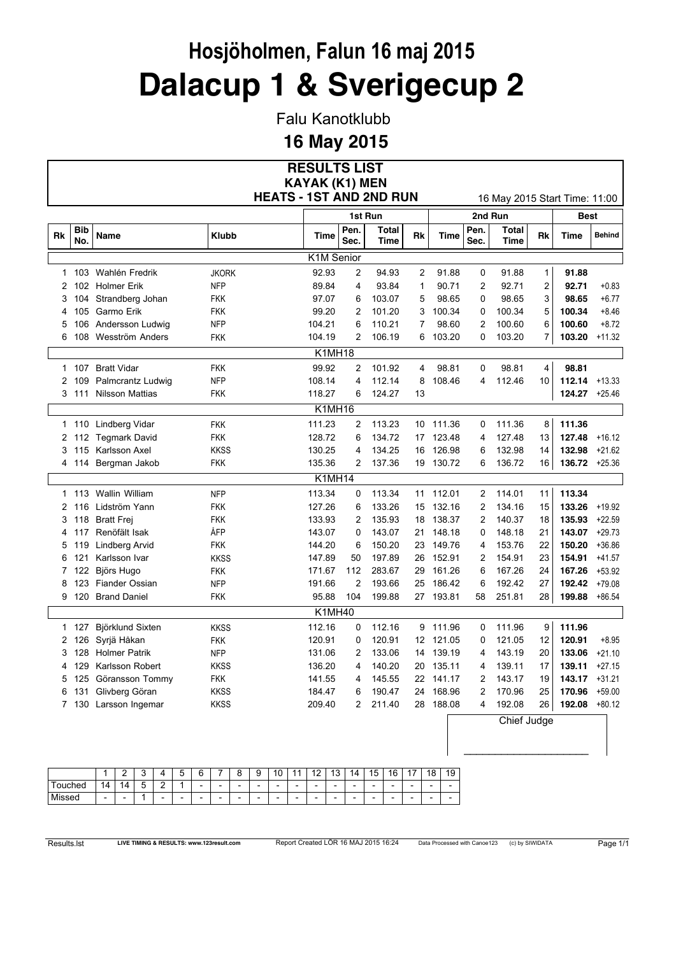Falu Kanotklubb

**16 May 2015**

|    |                   |                        |                                | <b>RESULTS LIST</b>   |                |                             |    |             |                |                               |                         |               |               |
|----|-------------------|------------------------|--------------------------------|-----------------------|----------------|-----------------------------|----|-------------|----------------|-------------------------------|-------------------------|---------------|---------------|
|    |                   |                        |                                | <b>KAYAK (K1) MEN</b> |                |                             |    |             |                |                               |                         |               |               |
|    |                   |                        | <b>HEATS - 1ST AND 2ND RUN</b> |                       |                |                             |    |             |                | 16 May 2015 Start Time: 11:00 |                         |               |               |
|    |                   |                        |                                |                       |                | 1st Run                     |    |             |                | 2nd Run                       |                         | <b>Best</b>   |               |
| Rk | <b>Bib</b><br>No. | Name                   | <b>Klubb</b>                   | <b>Time</b>           | Pen.<br>Sec.   | <b>Total</b><br><b>Time</b> | Rk | <b>Time</b> | Pen.<br>Sec.   | <b>Total</b><br><b>Time</b>   | Rk                      | Time          | <b>Behind</b> |
|    |                   |                        |                                | K1M Senior            |                |                             |    |             |                |                               |                         |               |               |
| 1  | 103               | Wahlén Fredrik         | <b>JKORK</b>                   | 92.93                 | 2              | 94.93                       | 2  | 91.88       | 0              | 91.88                         | $\mathbf{1}$            | 91.88         |               |
| 2  |                   | 102 Holmer Erik        | <b>NFP</b>                     | 89.84                 | 4              | 93.84                       | 1  | 90.71       | 2              | 92.71                         | $\overline{\mathbf{c}}$ | 92.71         | $+0.83$       |
| 3  | 104               | Strandberg Johan       | <b>FKK</b>                     | 97.07                 | 6              | 103.07                      | 5  | 98.65       | 0              | 98.65                         | 3                       | 98.65         | $+6.77$       |
| 4  | 105               | Garmo Erik             | FKK                            | 99.20                 | $\overline{2}$ | 101.20                      | 3  | 100.34      | 0              | 100.34                        | 5                       | 100.34        | $+8.46$       |
| 5  | 106               | Andersson Ludwig       | <b>NFP</b>                     | 104.21                | 6              | 110.21                      | 7  | 98.60       | 2              | 100.60                        | 6                       | 100.60        | $+8.72$       |
| 6  | 108               | Wesström Anders        | FKK                            | 104.19                | 2              | 106.19                      | 6  | 103.20      | 0              | 103.20                        | $\overline{7}$          | 103.20        | $+11.32$      |
|    |                   |                        |                                | <b>K1MH18</b>         |                |                             |    |             |                |                               |                         |               |               |
|    |                   | 1 107 Bratt Vidar      | <b>FKK</b>                     | 99.92                 | 2              | 101.92                      | 4  | 98.81       | 0              | 98.81                         | 4                       | 98.81         |               |
| 2  | 109               | Palmcrantz Ludwig      | <b>NFP</b>                     | 108.14                | 4              | 112.14                      | 8  | 108.46      | 4              | 112.46                        | 10                      | 112.14        | $+13.33$      |
| 3  | 111               | <b>Nilsson Mattias</b> | FKK                            | 118.27                | 6              | 124.27                      | 13 |             |                |                               |                         | 124.27        | $+25.46$      |
|    |                   |                        |                                | K1MH16                |                |                             |    |             |                |                               |                         |               |               |
| 1  | 110               | Lindberg Vidar         | <b>FKK</b>                     | 111.23                | 2              | 113.23                      | 10 | 111.36      | 0              | 111.36                        | 8                       | 111.36        |               |
|    |                   | 2 112 Tegmark David    | <b>FKK</b>                     | 128.72                | 6              | 134.72                      |    | 17 123.48   | 4              | 127.48                        | 13                      | 127.48        | $+16.12$      |
| 3  | 115               | Karlsson Axel          | <b>KKSS</b>                    | 130.25                | 4              | 134.25                      | 16 | 126.98      | 6              | 132.98                        | 14                      | 132.98        | $+21.62$      |
|    |                   | 4 114 Bergman Jakob    | <b>FKK</b>                     | 135.36                | $\overline{c}$ | 137.36                      |    | 19 130.72   | 6              | 136.72                        | 16                      | 136.72 +25.36 |               |
|    |                   |                        |                                | K1MH14                |                |                             |    |             |                |                               |                         |               |               |
| 1  | 113               | Wallin William         | <b>NFP</b>                     | 113.34                | 0              | 113.34                      | 11 | 112.01      | 2              | 114.01                        | 11                      | 113.34        |               |
| 2  | 116               | Lidström Yann          | FKK                            | 127.26                | 6              | 133.26                      | 15 | 132.16      | $\overline{2}$ | 134.16                        | 15                      | 133.26        | $+19.92$      |
| 3  | 118               | <b>Bratt Frej</b>      | <b>FKK</b>                     | 133.93                | 2              | 135.93                      | 18 | 138.37      | 2              | 140.37                        | 18                      | 135.93        | $+22.59$      |
| 4  | 117               | Renöfält Isak          | ÅFP                            | 143.07                | 0              | 143.07                      | 21 | 148.18      | 0              | 148.18                        | 21                      | 143.07        | $+29.73$      |
| 5  | 119               | Lindberg Arvid         | <b>FKK</b>                     | 144.20                | 6              | 150.20                      | 23 | 149.76      | 4              | 153.76                        | 22                      | 150.20        | $+36.86$      |
| 6  | 121               | Karlsson Ivar          | <b>KKSS</b>                    | 147.89                | 50             | 197.89                      | 26 | 152.91      | 2              | 154.91                        | 23                      | 154.91        | $+41.57$      |
| 7  | 122               | Björs Hugo             | FKK                            | 171.67                | 112            | 283.67                      | 29 | 161.26      | 6              | 167.26                        | 24                      | 167.26        | $+53.92$      |
| 8  | 123               | <b>Fiander Ossian</b>  | <b>NFP</b>                     | 191.66                | $\overline{2}$ | 193.66                      | 25 | 186.42      | 6              | 192.42                        | 27                      | 192.42        | $+79.08$      |
|    |                   | 9 120 Brand Daniel     | FKK                            | 95.88                 | 104            | 199.88                      |    | 27 193.81   | 58             | 251.81                        | 28                      | 199.88        | $+86.54$      |
|    |                   |                        |                                | K1MH40                |                |                             |    |             |                |                               |                         |               |               |
|    | 1 127             | Björklund Sixten       | <b>KKSS</b>                    | 112.16                | 0              | 112.16                      |    | 9 111.96    | 0              | 111.96                        | 9                       | 111.96        |               |
| 2  | 126               | Syrjä Håkan            | <b>FKK</b>                     | 120.91                | 0              | 120.91                      |    | 12 121.05   | 0              | 121.05                        | 12                      | 120.91        | $+8.95$       |
| 3  | 128               | <b>Holmer Patrik</b>   | <b>NFP</b>                     | 131.06                | 2              | 133.06                      | 14 | 139.19      | 4              | 143.19                        | 20                      | 133.06        | $+21.10$      |
| 4  | 129               | Karlsson Robert        | <b>KKSS</b>                    | 136.20                | 4              | 140.20                      | 20 | 135.11      | 4              | 139.11                        | 17                      | 139.11        | $+27.15$      |
| 5  | 125               | Göransson Tommy        | <b>FKK</b>                     | 141.55                | 4              | 145.55                      | 22 | 141.17      | 2              | 143.17                        | 19                      | 143.17        | $+31.21$      |
| 6  | 131               | Glivberg Göran         | <b>KKSS</b>                    | 184.47                | 6              | 190.47                      | 24 | 168.96      | 2              | 170.96                        | 25                      | 170.96        | $+59.00$      |
|    | 7 130             | Larsson Ingemar        | <b>KKSS</b>                    | 209.40                | 2              | 211.40                      | 28 | 188.08      | 4              | 192.08                        | 26                      | 192.08        | $+80.12$      |
|    |                   |                        |                                |                       |                |                             |    |             |                | Chief Judge                   |                         |               |               |

|        | -                        | -      | ◠<br>u |                          | -<br>∽<br>ັ              | ⌒<br>ົ<br>╰              |                          | Ω | a<br>o                   | $\overline{A}$<br>v      | ٠                        | $\sqrt{2}$               | $\overline{A}$<br>ں ،    | 14<br>◢                  | $\overline{ }$<br>רי ו<br>้ | 16                       | $\overline{A}$<br>. .    | 18                       | 19                       |
|--------|--------------------------|--------|--------|--------------------------|--------------------------|--------------------------|--------------------------|---|--------------------------|--------------------------|--------------------------|--------------------------|--------------------------|--------------------------|-----------------------------|--------------------------|--------------------------|--------------------------|--------------------------|
| ouched | 14<br>$-$                | 4<br>۰ | -<br>u | ◠<br>-                   |                          | $\overline{\phantom{0}}$ | $\overline{\phantom{a}}$ | - | $\overline{\phantom{0}}$ | -                        | $\overline{\phantom{0}}$ | $\overline{\phantom{0}}$ | $\overline{\phantom{a}}$ | -                        | $\overline{\phantom{0}}$    | $\overline{\phantom{0}}$ | $\overline{\phantom{0}}$ | $\overline{\phantom{0}}$ | $\overline{\phantom{0}}$ |
| .ssed  | $\overline{\phantom{a}}$ | -      |        | $\overline{\phantom{a}}$ | $\overline{\phantom{0}}$ | $\overline{\phantom{a}}$ | $\overline{\phantom{a}}$ | - | $\overline{\phantom{0}}$ | $\overline{\phantom{0}}$ | $\overline{\phantom{0}}$ | $\overline{\phantom{0}}$ | $\overline{\phantom{a}}$ | $\overline{\phantom{0}}$ | $\overline{\phantom{a}}$    | $\overline{\phantom{0}}$ | $\overline{\phantom{0}}$ | $\overline{\phantom{0}}$ | $\overline{\phantom{0}}$ |

 $\_$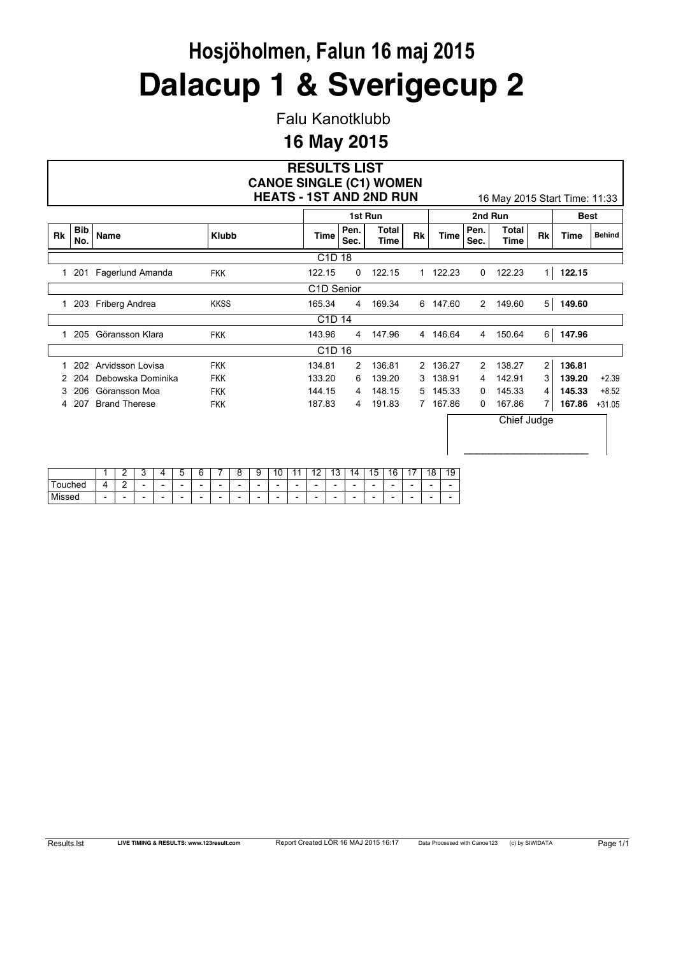Falu Kanotklubb

### **16 May 2015**

|              |                   |                                                         |                  | <b>RESULTS LIST</b><br><b>CANOE SINGLE (C1) WOMEN</b>       |                |                         |             |             |              |                               |                |             |               |
|--------------|-------------------|---------------------------------------------------------|------------------|-------------------------------------------------------------|----------------|-------------------------|-------------|-------------|--------------|-------------------------------|----------------|-------------|---------------|
|              |                   |                                                         |                  | <b>HEATS - 1ST AND 2ND RUN</b>                              |                |                         |             |             |              | 16 May 2015 Start Time: 11:33 |                |             |               |
|              |                   |                                                         |                  |                                                             | 1st Run        |                         |             |             |              | 2nd Run                       |                | <b>Best</b> |               |
| Rk           | <b>Bib</b><br>No. | Name                                                    | <b>Klubb</b>     | <b>Time</b>                                                 | Pen.<br>Sec.   | Total<br><b>Time</b>    | Rk          | <b>Time</b> | Pen.<br>Sec. | Total<br>Time                 | <b>Rk</b>      | <b>Time</b> | <b>Behind</b> |
|              |                   |                                                         |                  | C <sub>1</sub> D <sub>18</sub>                              |                |                         |             |             |              |                               |                |             |               |
| $\mathbf{1}$ | 201               | Fagerlund Amanda                                        | <b>FKK</b>       | 122.15                                                      | 0              | 122.15                  |             | 1 122.23    | 0            | 122.23                        | 1              | 122.15      |               |
|              |                   |                                                         |                  | C1D Senior                                                  |                |                         |             |             |              |                               |                |             |               |
| 1.           | 203               | Friberg Andrea                                          | <b>KKSS</b>      | 165.34                                                      | 4              | 169.34                  |             | 6 147.60    | $2^{\circ}$  | 149.60                        | 5 <sub>5</sub> | 149.60      |               |
|              |                   |                                                         |                  | C <sub>1</sub> D <sub>14</sub>                              |                |                         |             |             |              |                               |                |             |               |
| 1.           | 205               | Göransson Klara                                         | <b>FKK</b>       | 143.96                                                      | 4              | 147.96                  |             | 4 146.64    | 4            | 150.64                        | $6 \,$         | 147.96      |               |
|              |                   |                                                         |                  | C <sub>1</sub> D <sub>16</sub>                              |                |                         |             |             |              |                               |                |             |               |
|              | 202               | Arvidsson Lovisa                                        | <b>FKK</b>       | 134.81                                                      | $\overline{2}$ | 136.81                  | $2^{\circ}$ | 136.27      | 2            | 138.27                        | $\overline{2}$ | 136.81      |               |
|              | 204               | Debowska Dominika                                       | <b>FKK</b>       | 133.20                                                      | 6              | 139.20                  | 3           | 138.91      | 4            | 142.91                        | 3              | 139.20      | $+2.39$       |
| 3            | 206               | Göransson Moa                                           | <b>FKK</b>       | 144.15                                                      | 4              | 148.15                  | 5           | 145.33      | 0            | 145.33                        | 4              | 145.33      | $+8.52$       |
|              | 207               | <b>Brand Therese</b>                                    | <b>FKK</b>       | 187.83                                                      | 4              | 191.83                  | $7^{\circ}$ | 167.86      | 0            | 167.86                        | 7              | 167.86      | $+31.05$      |
|              |                   | $\mathcal{P}$<br>$\mathcal{E}$<br>$5^{\circ}$<br>1<br>4 | 8<br>6<br>7<br>9 | 12 <sup>°</sup><br>10 <sup>1</sup><br>11<br>13 <sup>1</sup> | 14             | 15 <sup>1</sup><br>16 I | 17 I        | 18 I<br>19  |              | Chief Judge                   |                |             |               |

|              |                          | -           | ີ                        |                          | -<br>∽                   | G                        |                          | -<br>ັ                   | $\sim$<br>◡<br>ັ         | 10                       | $\overline{\phantom{a}}$ | $\overline{a}$           | 12<br>10                 | 4                        | 15                       | 16                       | $\overline{A}$<br>. .    | ە 4<br>a                 | 19                       |
|--------------|--------------------------|-------------|--------------------------|--------------------------|--------------------------|--------------------------|--------------------------|--------------------------|--------------------------|--------------------------|--------------------------|--------------------------|--------------------------|--------------------------|--------------------------|--------------------------|--------------------------|--------------------------|--------------------------|
| iched<br>ouc | 4                        | $\sim$<br>- | $\overline{\phantom{0}}$ | $\overline{\phantom{0}}$ | $\overline{\phantom{0}}$ | $\overline{\phantom{0}}$ | $\overline{\phantom{0}}$ | $\overline{\phantom{a}}$ | $\overline{\phantom{0}}$ | $\overline{\phantom{0}}$ | $\overline{\phantom{0}}$ | $\overline{\phantom{a}}$ | $\overline{\phantom{0}}$ | -                        | -                        | $\overline{\phantom{0}}$ | $\overline{\phantom{0}}$ | -                        | $\overline{\phantom{0}}$ |
| Missed       | $\overline{\phantom{a}}$ | -           | $\overline{\phantom{0}}$ | $\overline{\phantom{0}}$ | $\overline{\phantom{0}}$ | $\overline{\phantom{0}}$ | $\overline{\phantom{a}}$ | $\overline{\phantom{a}}$ | $\overline{\phantom{0}}$ | $\overline{\phantom{a}}$ | $\overline{\phantom{0}}$ | $\overline{\phantom{a}}$ | $\overline{\phantom{0}}$ | $\overline{\phantom{a}}$ | $\overline{\phantom{0}}$ | $\overline{\phantom{a}}$ | $\overline{\phantom{0}}$ | $\overline{\phantom{0}}$ | $\overline{\phantom{0}}$ |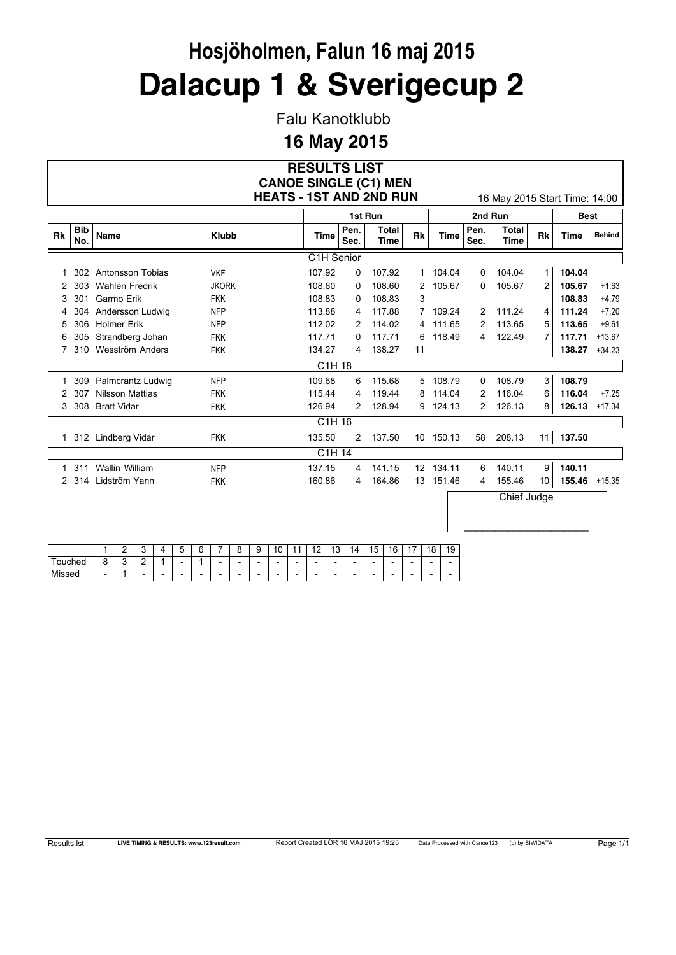Falu Kanotklubb

### **16 May 2015**

#### **RESULTS LIST HEATS - 1ST AND 2ND RUN** 16 May 2015 Start Time: 14:00 **CANOE SINGLE (C1) MEN**

 $\_$ 

|           |                   |                        |              |                                |              | 1st Run              |                   |          |              | 2nd Run       |              | <b>Best</b> |               |
|-----------|-------------------|------------------------|--------------|--------------------------------|--------------|----------------------|-------------------|----------|--------------|---------------|--------------|-------------|---------------|
| <b>Rk</b> | <b>Bib</b><br>No. | <b>Name</b>            | <b>Klubb</b> | Time                           | Pen.<br>Sec. | Total<br><b>Time</b> | Rk                | Time     | Pen.<br>Sec. | Total<br>Time | Rk           | <b>Time</b> | <b>Behind</b> |
|           |                   |                        |              | C <sub>1</sub> H Senior        |              |                      |                   |          |              |               |              |             |               |
|           | 302               | Antonsson Tobias       | <b>VKF</b>   | 107.92                         | 0            | 107.92               |                   | 1 104.04 | 0            | 104.04        | $\mathbf{1}$ | 104.04      |               |
| 2         | 303               | Wahlén Fredrik         | <b>JKORK</b> | 108.60                         | 0            | 108.60               | 2                 | 105.67   | 0            | 105.67        | 2            | 105.67      | $+1.63$       |
| 3         | 301               | Garmo Erik             | <b>FKK</b>   | 108.83                         | 0            | 108.83               | 3                 |          |              |               |              | 108.83      | $+4.79$       |
| 4         | 304               | Andersson Ludwig       | <b>NFP</b>   | 113.88                         | 4            | 117.88               |                   | 7 109.24 | 2            | 111.24        | 4            | 111.24      | $+7.20$       |
| 5         | 306               | Holmer Erik            | <b>NFP</b>   | 112.02                         | 2            | 114.02               | 4                 | 111.65   | 2            | 113.65        | 5            | 113.65      | $+9.61$       |
| 6         | 305               | Strandberg Johan       | <b>FKK</b>   | 117.71                         | 0            | 117.71               | 6                 | 118.49   | 4            | 122.49        | 7            | 117.71      | $+13.67$      |
|           | 310               | Wesström Anders        | <b>FKK</b>   | 134.27                         | 4            | 138.27               | 11                |          |              |               |              | 138.27      | $+34.23$      |
|           |                   |                        |              | C1H 18                         |              |                      |                   |          |              |               |              |             |               |
|           | 309               | Palmcrantz Ludwig      | <b>NFP</b>   | 109.68                         | 6            | 115.68               | 5                 | 108.79   | 0            | 108.79        | 3            | 108.79      |               |
| 2         | 307               | <b>Nilsson Mattias</b> | <b>FKK</b>   | 115.44                         | 4            | 119.44               | 8                 | 114.04   | 2            | 116.04        | 6            | 116.04      | $+7.25$       |
| 3         | 308               | <b>Bratt Vidar</b>     | <b>FKK</b>   | 126.94                         | 2            | 128.94               | 9                 | 124.13   | 2            | 126.13        | 8            | 126.13      | $+17.34$      |
|           |                   |                        |              | C <sub>1</sub> H <sub>16</sub> |              |                      |                   |          |              |               |              |             |               |
|           |                   | 312 Lindberg Vidar     | <b>FKK</b>   | 135.50                         | 2            | 137.50               | 10                | 150.13   | 58           | 208.13        | 11           | 137.50      |               |
|           |                   |                        |              | C1H 14                         |              |                      |                   |          |              |               |              |             |               |
|           | 311               | Wallin William         | <b>NFP</b>   | 137.15                         | 4            | 141.15               | $12 \overline{ }$ | 134.11   | 6            | 140.11        | 9            | 140.11      |               |
| 2         | 314               | Lidström Yann          | <b>FKK</b>   | 160.86                         | 4            | 164.86               | 13                | 151.46   | 4            | 155.46        | 10           | 155.46      | $+15.35$      |
|           |                   |                        |              |                                |              |                      |                   |          |              | Chief Judge   |              |             |               |

|                   | -                        | - | ۰.                       |                          | -<br>∽<br>ັ              | ⌒<br>. .<br>∼            | -                        | ⌒                        | ⌒<br>u                   | $\overline{A}$<br>ັບ     | ٠<br>٠                   | c<br>. .                 | $\sqrt{2}$<br>د ،        | Λ<br>$\boldsymbol{A}$    | F<br>÷<br>ັ              | 16<br>ັ                  | . .<br>. .               | 18                       | $\sim$<br>и<br>ч<br>$\epsilon$ |
|-------------------|--------------------------|---|--------------------------|--------------------------|--------------------------|--------------------------|--------------------------|--------------------------|--------------------------|--------------------------|--------------------------|--------------------------|--------------------------|--------------------------|--------------------------|--------------------------|--------------------------|--------------------------|--------------------------------|
| ıched             | Ω<br>╰                   | ∽ | ◠<br>-                   |                          | $\overline{\phantom{a}}$ |                          | -                        | $\overline{\phantom{0}}$ | $\overline{\phantom{0}}$ | $\overline{\phantom{0}}$ | $\overline{\phantom{0}}$ | -                        | $\overline{\phantom{0}}$ | $\overline{\phantom{0}}$ | $\overline{\phantom{0}}$ | $\overline{\phantom{a}}$ | $\overline{\phantom{0}}$ | -                        | -                              |
| M<br>0000<br>ააcu | $\overline{\phantom{a}}$ |   | $\overline{\phantom{a}}$ | $\overline{\phantom{a}}$ | $\overline{\phantom{a}}$ | $\overline{\phantom{a}}$ | $\overline{\phantom{a}}$ | -                        | $\overline{\phantom{0}}$ | $\overline{\phantom{0}}$ | $\overline{\phantom{a}}$ | $\overline{\phantom{a}}$ | $\overline{\phantom{0}}$ | $\overline{\phantom{a}}$ | $\overline{\phantom{0}}$ | $\overline{\phantom{a}}$ | $\overline{\phantom{0}}$ | $\overline{\phantom{a}}$ | -                              |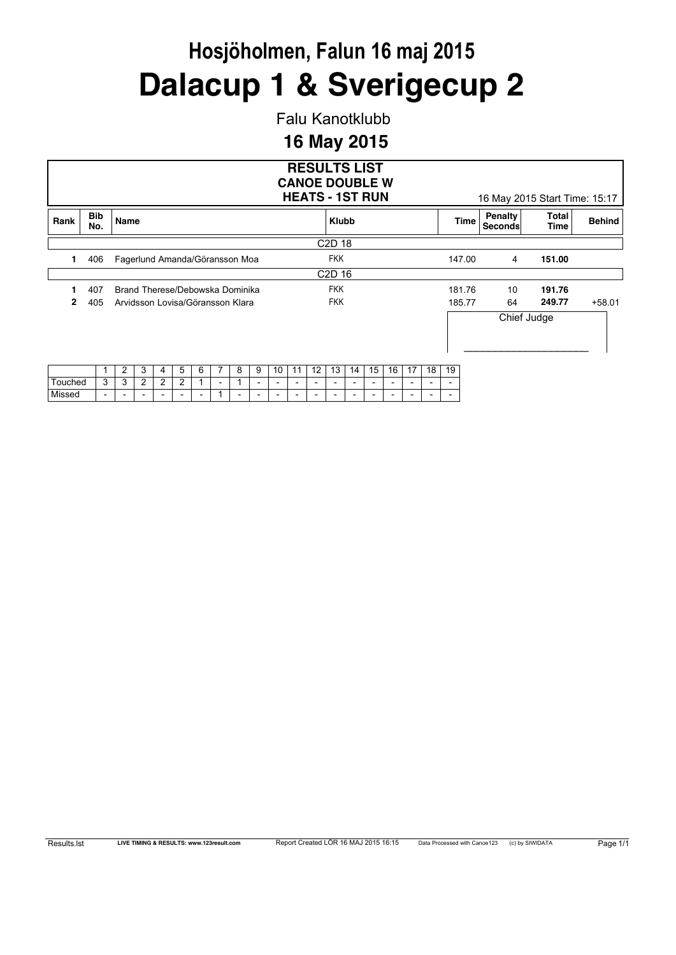Falu Kanotklubb

### **16 May 2015**

|         |                                                                     |                |   |   |   |   |                          |   |   |                          |                          |    |                                | <b>RESULTS LIST</b><br><b>CANOE DOUBLE W</b><br><b>HEATS - 1ST RUN</b> |                          |    |    |    |                          |        |                    | 16 May 2015 Start Time: 15:17 |               |
|---------|---------------------------------------------------------------------|----------------|---|---|---|---|--------------------------|---|---|--------------------------|--------------------------|----|--------------------------------|------------------------------------------------------------------------|--------------------------|----|----|----|--------------------------|--------|--------------------|-------------------------------|---------------|
| Rank    | <b>Bib</b><br>No.                                                   | Name           |   |   |   |   |                          |   |   |                          |                          |    | <b>Klubb</b>                   |                                                                        |                          |    |    |    |                          | Time   | Penalty<br>Seconds | Total<br>Time                 | <b>Behind</b> |
|         |                                                                     |                |   |   |   |   |                          |   |   |                          |                          |    | C <sub>2</sub> D <sub>18</sub> |                                                                        |                          |    |    |    |                          |        |                    |                               |               |
| 1       | 406<br>Fagerlund Amanda/Göransson Moa                               |                |   |   |   |   |                          |   |   |                          |                          |    |                                | <b>FKK</b>                                                             |                          |    |    |    |                          | 147.00 | 4                  | 151.00                        |               |
|         |                                                                     |                |   |   |   |   |                          |   |   |                          |                          |    | C <sub>2</sub> D <sub>16</sub> |                                                                        |                          |    |    |    |                          |        |                    |                               |               |
|         | 407                                                                 |                |   |   |   |   |                          |   |   |                          |                          |    | <b>FKK</b>                     |                                                                        |                          |    |    |    |                          | 181.76 | 10                 | 191.76                        |               |
| 2       | 405                                                                 |                |   |   |   |   |                          |   |   |                          |                          |    | <b>FKK</b>                     |                                                                        |                          |    |    |    | 185.77                   |        | 64                 | 249.77                        | $+58.01$      |
|         | Brand Therese/Debowska Dominika<br>Arvidsson Lovisa/Göransson Klara |                |   |   |   |   |                          |   |   |                          |                          |    |                                |                                                                        |                          |    |    |    |                          |        |                    | Chief Judge                   |               |
|         |                                                                     | $\overline{2}$ | 3 | 4 | 5 | 6 |                          | 8 | 9 | 10                       | 11                       | 12 | 13                             | 14                                                                     | 15                       | 16 | 17 | 18 | 19                       |        |                    |                               |               |
| Touched | 3                                                                   | 3              | 2 | 2 | 2 |   | $\overline{\phantom{a}}$ |   |   | $\overline{\phantom{0}}$ | $\overline{\phantom{a}}$ |    |                                |                                                                        | $\overline{\phantom{a}}$ |    |    |    | $\overline{\phantom{a}}$ |        |                    |                               |               |

Missed - - - - - - 1 - - - - - - - - - - - -

| रेesults.lst |  |  |  |
|--------------|--|--|--|
|--------------|--|--|--|